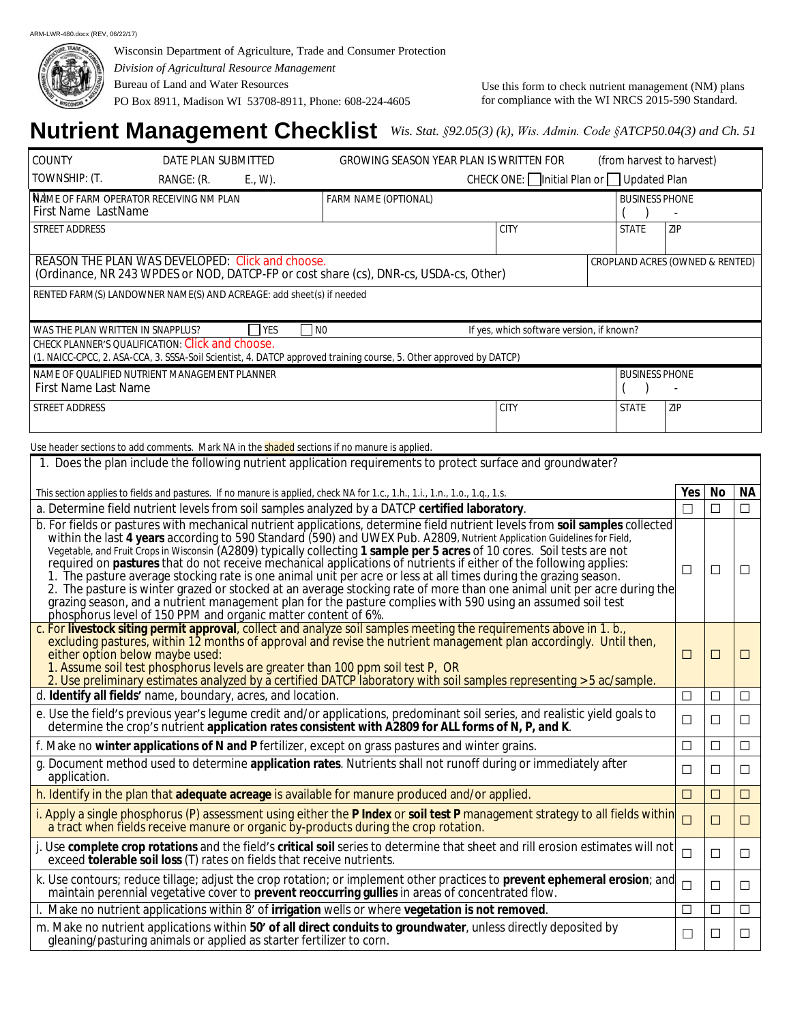

Wisconsin Department of Agriculture, Trade and Consumer Protection *Division of Agricultural Resource Management* Bureau of Land and Water Resources PO Box 8911, Madison WI 53708-8911, Phone: 608-224-4605

Use this form to check nutrient management (NM) plans for compliance with the WI NRCS 2015-590 Standard.

## **Nutrient Management Checklist** *Wis. Stat. §92.05(3) (k), Wis. Admin. Code §ATCP50.04(3) and Ch. 51*

| COUNTY                                                                                                                                                                                                                                                                                                                                                                                                                                                                                                                                                                                                                                                                                                                                                                                                                                                                                                                                   | DATE PLAN SUBMITTED |         | GROWING SEASON YEAR PLAN IS WRITTEN FOR<br>(from harvest to harvest)                                                                                                                                                                                                                                                                                                                                                                             |                                         |                       |        |        |        |  |  |  |  |
|------------------------------------------------------------------------------------------------------------------------------------------------------------------------------------------------------------------------------------------------------------------------------------------------------------------------------------------------------------------------------------------------------------------------------------------------------------------------------------------------------------------------------------------------------------------------------------------------------------------------------------------------------------------------------------------------------------------------------------------------------------------------------------------------------------------------------------------------------------------------------------------------------------------------------------------|---------------------|---------|--------------------------------------------------------------------------------------------------------------------------------------------------------------------------------------------------------------------------------------------------------------------------------------------------------------------------------------------------------------------------------------------------------------------------------------------------|-----------------------------------------|-----------------------|--------|--------|--------|--|--|--|--|
| TOWNSHIP: (T.                                                                                                                                                                                                                                                                                                                                                                                                                                                                                                                                                                                                                                                                                                                                                                                                                                                                                                                            | RANGE: (R.          | E., W). |                                                                                                                                                                                                                                                                                                                                                                                                                                                  | CHECK ONE: Initial Plan or Updated Plan |                       |        |        |        |  |  |  |  |
| NAME OF FARM OPERATOR RECEIVING NM PLAN<br>FARM NAME (OPTIONAL)<br><b>BUSINESS PHONE</b><br>First Name LastName                                                                                                                                                                                                                                                                                                                                                                                                                                                                                                                                                                                                                                                                                                                                                                                                                          |                     |         |                                                                                                                                                                                                                                                                                                                                                                                                                                                  |                                         |                       |        |        |        |  |  |  |  |
| STREET ADDRESS                                                                                                                                                                                                                                                                                                                                                                                                                                                                                                                                                                                                                                                                                                                                                                                                                                                                                                                           |                     |         |                                                                                                                                                                                                                                                                                                                                                                                                                                                  | <b>CITY</b>                             | <b>STATE</b>          | ZIP    |        |        |  |  |  |  |
| REASON THE PLAN WAS DEVELOPED: Click and choose.<br>CROPLAND ACRES (OWNED & RENTED)<br>(Ordinance, NR 243 WPDES or NOD, DATCP-FP or cost share (cs), DNR-cs, USDA-cs, Other)                                                                                                                                                                                                                                                                                                                                                                                                                                                                                                                                                                                                                                                                                                                                                             |                     |         |                                                                                                                                                                                                                                                                                                                                                                                                                                                  |                                         |                       |        |        |        |  |  |  |  |
| RENTED FARM(S) LANDOWNER NAME(S) AND ACREAGE: add sheet(s) if needed                                                                                                                                                                                                                                                                                                                                                                                                                                                                                                                                                                                                                                                                                                                                                                                                                                                                     |                     |         |                                                                                                                                                                                                                                                                                                                                                                                                                                                  |                                         |                       |        |        |        |  |  |  |  |
| WAS THE PLAN WRITTEN IN SNAPPLUS?<br>$\exists$ YES<br>$\Box$ NO<br>If yes, which software version, if known?                                                                                                                                                                                                                                                                                                                                                                                                                                                                                                                                                                                                                                                                                                                                                                                                                             |                     |         |                                                                                                                                                                                                                                                                                                                                                                                                                                                  |                                         |                       |        |        |        |  |  |  |  |
| CHECK PLANNER'S QUALIFICATION: Click and choose.                                                                                                                                                                                                                                                                                                                                                                                                                                                                                                                                                                                                                                                                                                                                                                                                                                                                                         |                     |         | (1. NAICC-CPCC, 2. ASA-CCA, 3. SSSA-Soil Scientist, 4. DATCP approved training course, 5. Other approved by DATCP)                                                                                                                                                                                                                                                                                                                               |                                         |                       |        |        |        |  |  |  |  |
| NAME OF QUALIFIED NUTRIENT MANAGEMENT PLANNER                                                                                                                                                                                                                                                                                                                                                                                                                                                                                                                                                                                                                                                                                                                                                                                                                                                                                            |                     |         |                                                                                                                                                                                                                                                                                                                                                                                                                                                  |                                         | <b>BUSINESS PHONE</b> |        |        |        |  |  |  |  |
| First Name Last Name                                                                                                                                                                                                                                                                                                                                                                                                                                                                                                                                                                                                                                                                                                                                                                                                                                                                                                                     |                     |         |                                                                                                                                                                                                                                                                                                                                                                                                                                                  |                                         |                       |        |        |        |  |  |  |  |
| STREET ADDRESS                                                                                                                                                                                                                                                                                                                                                                                                                                                                                                                                                                                                                                                                                                                                                                                                                                                                                                                           |                     |         |                                                                                                                                                                                                                                                                                                                                                                                                                                                  | <b>CITY</b>                             | <b>STATE</b>          | ZIP    |        |        |  |  |  |  |
| Use header sections to add comments. Mark NA in the <b>shaded</b> sections if no manure is applied.                                                                                                                                                                                                                                                                                                                                                                                                                                                                                                                                                                                                                                                                                                                                                                                                                                      |                     |         |                                                                                                                                                                                                                                                                                                                                                                                                                                                  |                                         |                       |        |        |        |  |  |  |  |
| 1. Does the plan include the following nutrient application requirements to protect surface and groundwater?                                                                                                                                                                                                                                                                                                                                                                                                                                                                                                                                                                                                                                                                                                                                                                                                                             |                     |         |                                                                                                                                                                                                                                                                                                                                                                                                                                                  |                                         |                       |        |        |        |  |  |  |  |
|                                                                                                                                                                                                                                                                                                                                                                                                                                                                                                                                                                                                                                                                                                                                                                                                                                                                                                                                          |                     |         | This section applies to fields and pastures. If no manure is applied, check NA for 1.c., 1.h., 1.h., 1.n., 1.o., 1.q., 1.s.                                                                                                                                                                                                                                                                                                                      |                                         |                       | Yes    | No     | ΝA     |  |  |  |  |
| a. Determine field nutrient levels from soil samples analyzed by a DATCP certified laboratory.                                                                                                                                                                                                                                                                                                                                                                                                                                                                                                                                                                                                                                                                                                                                                                                                                                           |                     |         |                                                                                                                                                                                                                                                                                                                                                                                                                                                  |                                         |                       |        | □      | $\Box$ |  |  |  |  |
| b. For fields or pastures with mechanical nutrient applications, determine field nutrient levels from soil samples collected<br>within the last 4 years according to 590 Standard (590) and UWEX Pub. A2809, Nutrient Application Guidelines for Field,<br>Vegetable, and Fruit Crops in Wisconsin (A2809) typically collecting 1 sample per 5 acres of 10 cores. Soil tests are not<br>required on pastures that do not receive mechanical applications of nutrients if either of the following applies:<br>1. The pasture average stocking rate is one animal unit per acre or less at all times during the grazing season.<br>2. The pasture is winter grazed or stocked at an average stocking rate of more than one animal unit per acre during the<br>grazing season, and a nutrient management plan for the pasture complies with 590 using an assumed soil test<br>phosphorus level of 150 PPM and organic matter content of 6%. |                     |         |                                                                                                                                                                                                                                                                                                                                                                                                                                                  |                                         | □                     | □      | $\Box$ |        |  |  |  |  |
| either option below maybe used:                                                                                                                                                                                                                                                                                                                                                                                                                                                                                                                                                                                                                                                                                                                                                                                                                                                                                                          |                     |         | c. For livestock siting permit approval, collect and analyze soil samples meeting the requirements above in 1. b.,<br>excluding pastures, within 12 months of approval and revise the nutrient management plan accordingly. Until then,<br>1. Assume soil test phosphorus levels are greater than 100 ppm soil test P, OR<br>2. Use preliminary estimates analyzed by a certified DATCP laboratory with soil samples representing > 5 ac/sample. |                                         |                       | □      | □      | □      |  |  |  |  |
| d. Identify all fields' name, boundary, acres, and location.<br>e. Use the field's previous year's lequme credit and/or applications, predominant soil series, and realistic yield goals to                                                                                                                                                                                                                                                                                                                                                                                                                                                                                                                                                                                                                                                                                                                                              |                     |         |                                                                                                                                                                                                                                                                                                                                                                                                                                                  |                                         |                       |        | □      | □      |  |  |  |  |
|                                                                                                                                                                                                                                                                                                                                                                                                                                                                                                                                                                                                                                                                                                                                                                                                                                                                                                                                          |                     |         | determine the crop's nutrient application rates consistent with A2809 for ALL forms of N, P, and K.                                                                                                                                                                                                                                                                                                                                              |                                         |                       | $\Box$ | $\Box$ | □      |  |  |  |  |
|                                                                                                                                                                                                                                                                                                                                                                                                                                                                                                                                                                                                                                                                                                                                                                                                                                                                                                                                          |                     |         | f. Make no winter applications of N and P fertilizer, except on grass pastures and winter grains.                                                                                                                                                                                                                                                                                                                                                |                                         |                       | □      | $\Box$ | $\Box$ |  |  |  |  |
| application.                                                                                                                                                                                                                                                                                                                                                                                                                                                                                                                                                                                                                                                                                                                                                                                                                                                                                                                             |                     |         | g. Document method used to determine application rates. Nutrients shall not runoff during or immediately after                                                                                                                                                                                                                                                                                                                                   |                                         |                       | □      | $\Box$ | ⊔      |  |  |  |  |
|                                                                                                                                                                                                                                                                                                                                                                                                                                                                                                                                                                                                                                                                                                                                                                                                                                                                                                                                          |                     |         | h. Identify in the plan that <b>adequate acreage</b> is available for manure produced and/or applied.                                                                                                                                                                                                                                                                                                                                            |                                         |                       | □      | □      | □      |  |  |  |  |
|                                                                                                                                                                                                                                                                                                                                                                                                                                                                                                                                                                                                                                                                                                                                                                                                                                                                                                                                          |                     |         | i. Apply a single phosphorus (P) assessment using either the <b>P Index</b> or soil test P management strategy to all fields within<br>a tract when fields receive manure or organic by-products during the crop rotation.                                                                                                                                                                                                                       |                                         |                       | $\Box$ | $\Box$ | ⊔      |  |  |  |  |
| exceed tolerable soil loss (T) rates on fields that receive nutrients.                                                                                                                                                                                                                                                                                                                                                                                                                                                                                                                                                                                                                                                                                                                                                                                                                                                                   |                     |         | j. Use complete crop rotations and the field's critical soil series to determine that sheet and rill erosion estimates will not                                                                                                                                                                                                                                                                                                                  |                                         |                       | $\Box$ | $\Box$ | ⊔      |  |  |  |  |
|                                                                                                                                                                                                                                                                                                                                                                                                                                                                                                                                                                                                                                                                                                                                                                                                                                                                                                                                          |                     |         | k. Use contours; reduce tillage; adjust the crop rotation; or implement other practices to prevent ephemeral erosion; and<br>maintain perennial vegetative cover to prevent reoccurring gullies in areas of concentrated flow.                                                                                                                                                                                                                   |                                         |                       | □      | □      | ⊔      |  |  |  |  |
|                                                                                                                                                                                                                                                                                                                                                                                                                                                                                                                                                                                                                                                                                                                                                                                                                                                                                                                                          |                     |         | Make no nutrient applications within 8' of irrigation wells or where vegetation is not removed.                                                                                                                                                                                                                                                                                                                                                  |                                         |                       | $\Box$ | $\Box$ | □      |  |  |  |  |
| m. Make no nutrient applications within 50' of all direct conduits to groundwater, unless directly deposited by<br>gleaning/pasturing animals or applied as starter fertilizer to corn.                                                                                                                                                                                                                                                                                                                                                                                                                                                                                                                                                                                                                                                                                                                                                  |                     |         |                                                                                                                                                                                                                                                                                                                                                                                                                                                  |                                         | $\Box$                | $\Box$ | $\Box$ |        |  |  |  |  |